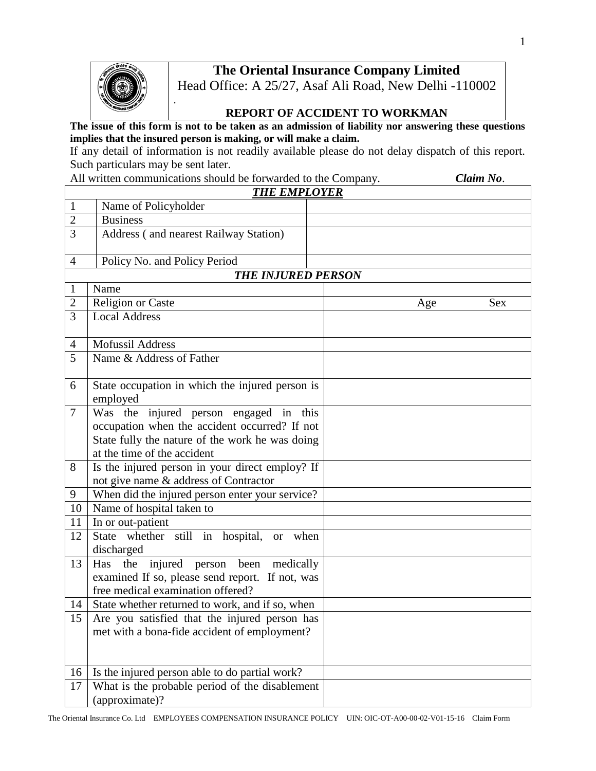## **The Oriental Insurance Company Limited**



## **REPORT OF ACCIDENT TO WORKMAN**

**The issue of this form is not to be taken as an admission of liability nor answering these questions implies that the insured person is making, or will make a claim.**

If any detail of information is not readily available please do not delay dispatch of this report. Such particulars may be sent later.

All written communications should be forwarded to the Company. *Claim No.* 

|                | <b>THE EMPLOYER</b>                                                                                                                                                       |     |            |  |  |  |  |
|----------------|---------------------------------------------------------------------------------------------------------------------------------------------------------------------------|-----|------------|--|--|--|--|
| $\mathbf{1}$   | Name of Policyholder                                                                                                                                                      |     |            |  |  |  |  |
| $\overline{2}$ | <b>Business</b>                                                                                                                                                           |     |            |  |  |  |  |
| 3              | Address (and nearest Railway Station)                                                                                                                                     |     |            |  |  |  |  |
| $\overline{4}$ | Policy No. and Policy Period                                                                                                                                              |     |            |  |  |  |  |
|                | <b>THE INJURED PERSON</b>                                                                                                                                                 |     |            |  |  |  |  |
| 1              | Name                                                                                                                                                                      |     |            |  |  |  |  |
| $\overline{2}$ | Religion or Caste                                                                                                                                                         | Age | <b>Sex</b> |  |  |  |  |
| $\overline{3}$ | <b>Local Address</b>                                                                                                                                                      |     |            |  |  |  |  |
| $\overline{4}$ | <b>Mofussil Address</b>                                                                                                                                                   |     |            |  |  |  |  |
| 5              | Name & Address of Father                                                                                                                                                  |     |            |  |  |  |  |
| 6              | State occupation in which the injured person is<br>employed                                                                                                               |     |            |  |  |  |  |
| $\overline{7}$ | Was the injured person engaged in this<br>occupation when the accident occurred? If not<br>State fully the nature of the work he was doing<br>at the time of the accident |     |            |  |  |  |  |
| 8              | Is the injured person in your direct employ? If<br>not give name & address of Contractor                                                                                  |     |            |  |  |  |  |
| 9              | When did the injured person enter your service?                                                                                                                           |     |            |  |  |  |  |
| 10             | Name of hospital taken to                                                                                                                                                 |     |            |  |  |  |  |
| 11             | In or out-patient                                                                                                                                                         |     |            |  |  |  |  |
| 12             | State whether still in hospital, or when<br>discharged                                                                                                                    |     |            |  |  |  |  |
| 13             | the<br>Has<br>injured<br>person been medically<br>examined If so, please send report. If not, was<br>free medical examination offered?                                    |     |            |  |  |  |  |
| 14             | State whether returned to work, and if so, when                                                                                                                           |     |            |  |  |  |  |
| 15             | Are you satisfied that the injured person has<br>met with a bona-fide accident of employment?                                                                             |     |            |  |  |  |  |
| 16             | Is the injured person able to do partial work?                                                                                                                            |     |            |  |  |  |  |
| 17             | What is the probable period of the disablement<br>(approximate)?                                                                                                          |     |            |  |  |  |  |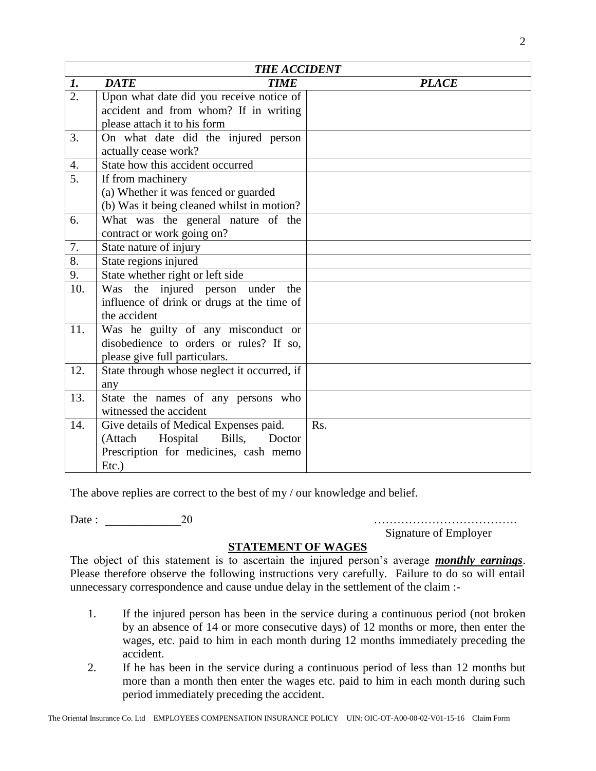|                  | <b>THE ACCIDENT</b>                         |              |  |  |  |  |
|------------------|---------------------------------------------|--------------|--|--|--|--|
| 1.               | <b>DATE</b><br><b>TIME</b>                  | <b>PLACE</b> |  |  |  |  |
| $\overline{2}$ . | Upon what date did you receive notice of    |              |  |  |  |  |
|                  | accident and from whom? If in writing       |              |  |  |  |  |
|                  | please attach it to his form                |              |  |  |  |  |
| 3.               | On what date did the injured person         |              |  |  |  |  |
|                  | actually cease work?                        |              |  |  |  |  |
| 4.               | State how this accident occurred            |              |  |  |  |  |
| 5.               | If from machinery                           |              |  |  |  |  |
|                  | (a) Whether it was fenced or guarded        |              |  |  |  |  |
|                  | (b) Was it being cleaned whilst in motion?  |              |  |  |  |  |
| 6.               | What was the general nature of the          |              |  |  |  |  |
|                  | contract or work going on?                  |              |  |  |  |  |
| 7.               | State nature of injury                      |              |  |  |  |  |
| 8.               | State regions injured                       |              |  |  |  |  |
| 9.               | State whether right or left side            |              |  |  |  |  |
| 10.              | the injured person<br>Was<br>under<br>the   |              |  |  |  |  |
|                  | influence of drink or drugs at the time of  |              |  |  |  |  |
|                  | the accident                                |              |  |  |  |  |
| 11.              | Was he guilty of any misconduct or          |              |  |  |  |  |
|                  | disobedience to orders or rules? If so,     |              |  |  |  |  |
|                  | please give full particulars.               |              |  |  |  |  |
| 12.              | State through whose neglect it occurred, if |              |  |  |  |  |
|                  | any                                         |              |  |  |  |  |
| 13.              | State the names of any persons who          |              |  |  |  |  |
|                  | witnessed the accident                      |              |  |  |  |  |
| 14.              | Give details of Medical Expenses paid.      | Rs.          |  |  |  |  |
|                  | (Attach<br>Bills,<br>Hospital<br>Doctor     |              |  |  |  |  |
|                  | Prescription for medicines, cash memo       |              |  |  |  |  |
|                  | $Etc.$ )                                    |              |  |  |  |  |

The above replies are correct to the best of my / our knowledge and belief.

Date : \_\_\_\_\_\_\_\_\_\_\_\_\_20 ……………………………….

Signature of Employer

## **STATEMENT OF WAGES**

The object of this statement is to ascertain the injured person's average *monthly earnings*. Please therefore observe the following instructions very carefully. Failure to do so will entail unnecessary correspondence and cause undue delay in the settlement of the claim :-

- 1. If the injured person has been in the service during a continuous period (not broken by an absence of 14 or more consecutive days) of 12 months or more, then enter the wages, etc. paid to him in each month during 12 months immediately preceding the accident.
- 2. If he has been in the service during a continuous period of less than 12 months but more than a month then enter the wages etc. paid to him in each month during such period immediately preceding the accident.